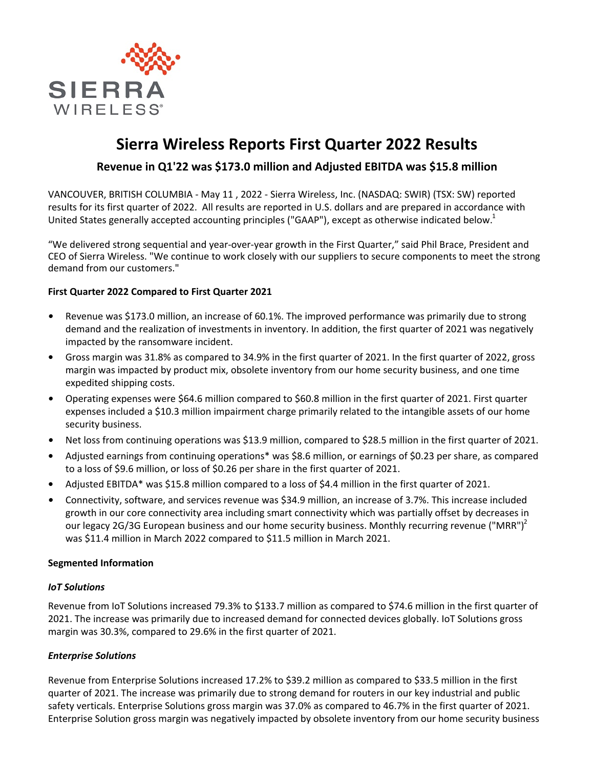

# **Sierra Wireless Reports First Quarter 2022 Results**

## **Revenue in Q1'22 was \$173.0 million and Adjusted EBITDA was \$15.8 million**

VANCOUVER, BRITISH COLUMBIA - May 11, 2022 - Sierra Wireless, Inc. (NASDAQ: SWIR) (TSX: SW) reported results for its first quarter of 2022. All results are reported in U.S. dollars and are prepared in accordance with United States generally accepted accounting principles ("GAAP"), except as otherwise indicated below.<sup>1</sup>

"We delivered strong sequential and year-over-year growth in the First Quarter," said Phil Brace, President and CEO of Sierra Wireless. "We continue to work closely with our suppliers to secure components to meet the strong demand from our customers."

## **First Quarter 2022 Compared to First Quarter 2021**

- Revenue was \$173.0 million, an increase of 60.1%. The improved performance was primarily due to strong demand and the realization of investments in inventory. In addition, the first quarter of 2021 was negatively impacted by the ransomware incident.
- Gross margin was 31.8% as compared to 34.9% in the first quarter of 2021. In the first quarter of 2022, gross margin was impacted by product mix, obsolete inventory from our home security business, and one time expedited shipping costs.
- Operating expenses were \$64.6 million compared to \$60.8 million in the first quarter of 2021. First quarter expenses included a \$10.3 million impairment charge primarily related to the intangible assets of our home security business.
- **Net loss from continuing operations was \$13.9 million, compared to \$28.5 million in the first quarter of 2021.**
- Adjusted earnings from continuing operations<sup>\*</sup> was \$8.6 million, or earnings of \$0.23 per share, as compared to a loss of \$9.6 million, or loss of \$0.26 per share in the first quarter of 2021.
- Adjusted EBITDA\* was \$15.8 million compared to a loss of \$4.4 million in the first quarter of 2021.
- Connectivity, software, and services revenue was \$34.9 million, an increase of 3.7%. This increase included growth in our core connectivity area including smart connectivity which was partially offset by decreases in our legacy 2G/3G European business and our home security business. Monthly recurring revenue ("MRR")<sup>2</sup> was \$11.4 million in March 2022 compared to \$11.5 million in March 2021.

#### **Segmented Information**

## *IoT Solutions*

Revenue from IoT Solutions increased 79.3% to \$133.7 million as compared to \$74.6 million in the first quarter of 2021. The increase was primarily due to increased demand for connected devices globally. IoT Solutions gross margin was 30.3%, compared to 29.6% in the first quarter of 2021.

## *Enterprise Solutions*

Revenue from Enterprise Solutions increased 17.2% to \$39.2 million as compared to \$33.5 million in the first quarter of 2021. The increase was primarily due to strong demand for routers in our key industrial and public safety verticals. Enterprise Solutions gross margin was 37.0% as compared to 46.7% in the first quarter of 2021. Enterprise Solution gross margin was negatively impacted by obsolete inventory from our home security business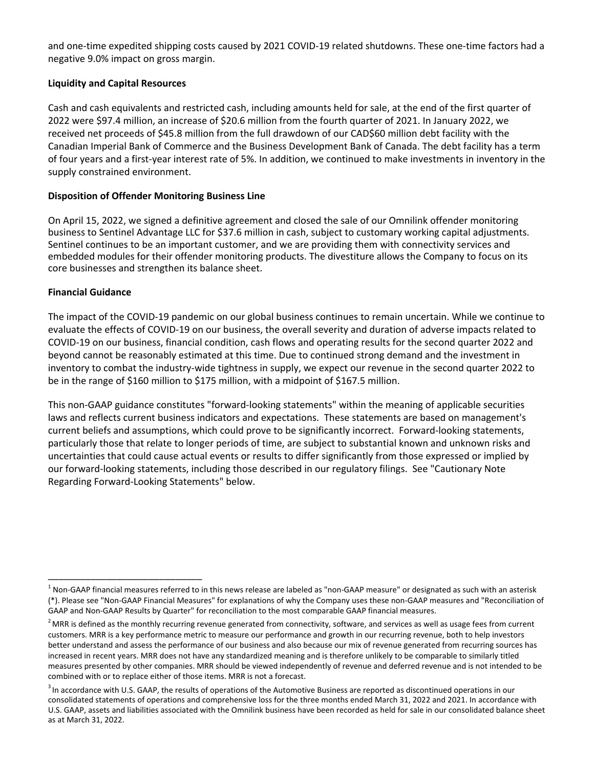and one-time expedited shipping costs caused by 2021 COVID-19 related shutdowns. These one-time factors had a negative 9.0% impact on gross margin.

## **Liquidity and Capital Resources**

Cash and cash equivalents and restricted cash, including amounts held for sale, at the end of the first quarter of 2022 were \$97.4 million, an increase of \$20.6 million from the fourth quarter of 2021. In January 2022, we received net proceeds of \$45.8 million from the full drawdown of our CAD\$60 million debt facility with the Canadian Imperial Bank of Commerce and the Business Development Bank of Canada. The debt facility has a term of four years and a first-year interest rate of 5%. In addition, we continued to make investments in inventory in the supply constrained environment.

## **Disposition of Offender Monitoring Business Line**

On April 15, 2022, we signed a definitive agreement and closed the sale of our Omnilink offender monitoring business to Sentinel Advantage LLC for \$37.6 million in cash, subject to customary working capital adjustments. Sentinel continues to be an important customer, and we are providing them with connectivity services and embedded modules for their offender monitoring products. The divestiture allows the Company to focus on its core businesses and strengthen its balance sheet.

## **Financial Guidance**

\_\_\_\_\_\_\_\_\_\_\_\_\_\_\_\_\_\_\_\_\_\_\_\_\_\_\_\_\_

The impact of the COVID-19 pandemic on our global business continues to remain uncertain. While we continue to evaluate the effects of COVID-19 on our business, the overall severity and duration of adverse impacts related to COVID-19 on our business, financial condition, cash flows and operating results for the second quarter 2022 and beyond cannot be reasonably estimated at this time. Due to continued strong demand and the investment in inventory to combat the industry-wide tightness in supply, we expect our revenue in the second quarter 2022 to be in the range of \$160 million to \$175 million, with a midpoint of \$167.5 million.

This non-GAAP guidance constitutes "forward-looking statements" within the meaning of applicable securities laws and reflects current business indicators and expectations. These statements are based on management's current beliefs and assumptions, which could prove to be significantly incorrect. Forward-looking statements, particularly those that relate to longer periods of time, are subject to substantial known and unknown risks and uncertainties that could cause actual events or results to differ significantly from those expressed or implied by our forward-looking statements, including those described in our regulatory filings. See "Cautionary Note Regarding Forward-Looking Statements" below.

 $^1$  Non-GAAP financial measures referred to in this news release are labeled as "non-GAAP measure" or designated as such with an asterisk (\*). Please see "Non-GAAP Financial Measures" for explanations of why the Company uses these non-GAAP measures and "Reconciliation of GAAP and Non-GAAP Results by Quarter" for reconciliation to the most comparable GAAP financial measures.

 $2$  MRR is defined as the monthly recurring revenue generated from connectivity, software, and services as well as usage fees from current customers. MRR is a key performance metric to measure our performance and growth in our recurring revenue, both to help investors better understand and assess the performance of our business and also because our mix of revenue generated from recurring sources has increased in recent years. MRR does not have any standardized meaning and is therefore unlikely to be comparable to similarly titled measures presented by other companies. MRR should be viewed independently of revenue and deferred revenue and is not intended to be combined with or to replace either of those items. MRR is not a forecast.

 $3$  In accordance with U.S. GAAP, the results of operations of the Automotive Business are reported as discontinued operations in our consolidated statements of operations and comprehensive loss for the three months ended March 31, 2022 and 2021. In accordance with U.S. GAAP, assets and liabilities associated with the Omnilink business have been recorded as held for sale in our consolidated balance sheet as at March 31, 2022.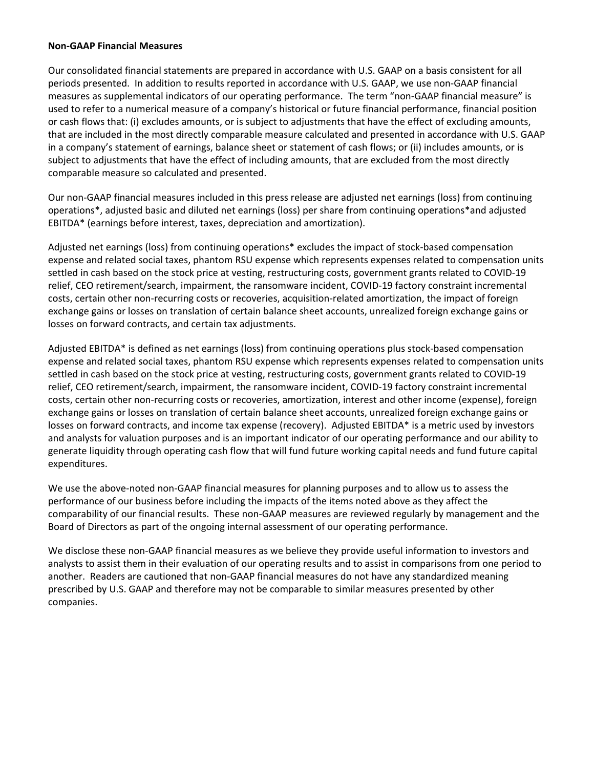#### **Non-GAAP Financial Measures**

Our consolidated financial statements are prepared in accordance with U.S. GAAP on a basis consistent for all periods presented. In addition to results reported in accordance with U.S. GAAP, we use non-GAAP financial measures as supplemental indicators of our operating performance. The term "non-GAAP financial measure" is used to refer to a numerical measure of a company's historical or future financial performance, financial position or cash flows that: (i) excludes amounts, or is subject to adjustments that have the effect of excluding amounts, that are included in the most directly comparable measure calculated and presented in accordance with U.S. GAAP in a company's statement of earnings, balance sheet or statement of cash flows; or (ii) includes amounts, or is subject to adjustments that have the effect of including amounts, that are excluded from the most directly comparable measure so calculated and presented.

Our non-GAAP financial measures included in this press release are adjusted net earnings (loss) from continuing operations\*, adjusted basic and diluted net earnings (loss) per share from continuing operations\*and adjusted EBITDA\* (earnings before interest, taxes, depreciation and amortization).

Adjusted net earnings (loss) from continuing operations\* excludes the impact of stock-based compensation expense and related social taxes, phantom RSU expense which represents expenses related to compensation units settled in cash based on the stock price at vesting, restructuring costs, government grants related to COVID-19 relief, CEO retirement/search, impairment, the ransomware incident, COVID-19 factory constraint incremental costs, certain other non-recurring costs or recoveries, acquisition-related amortization, the impact of foreign exchange gains or losses on translation of certain balance sheet accounts, unrealized foreign exchange gains or losses on forward contracts, and certain tax adjustments.

Adjusted EBITDA\* is defined as net earnings (loss) from continuing operations plus stock-based compensation expense and related social taxes, phantom RSU expense which represents expenses related to compensation units settled in cash based on the stock price at vesting, restructuring costs, government grants related to COVID-19 relief, CEO retirement/search, impairment, the ransomware incident, COVID-19 factory constraint incremental costs, certain other non-recurring costs or recoveries, amortization, interest and other income (expense), foreign exchange gains or losses on translation of certain balance sheet accounts, unrealized foreign exchange gains or losses on forward contracts, and income tax expense (recovery). Adjusted EBITDA\* is a metric used by investors and analysts for valuation purposes and is an important indicator of our operating performance and our ability to generate liquidity through operating cash flow that will fund future working capital needs and fund future capital expenditures. 

We use the above-noted non-GAAP financial measures for planning purposes and to allow us to assess the performance of our business before including the impacts of the items noted above as they affect the comparability of our financial results. These non-GAAP measures are reviewed regularly by management and the Board of Directors as part of the ongoing internal assessment of our operating performance.

We disclose these non-GAAP financial measures as we believe they provide useful information to investors and analysts to assist them in their evaluation of our operating results and to assist in comparisons from one period to another. Readers are cautioned that non-GAAP financial measures do not have any standardized meaning prescribed by U.S. GAAP and therefore may not be comparable to similar measures presented by other companies.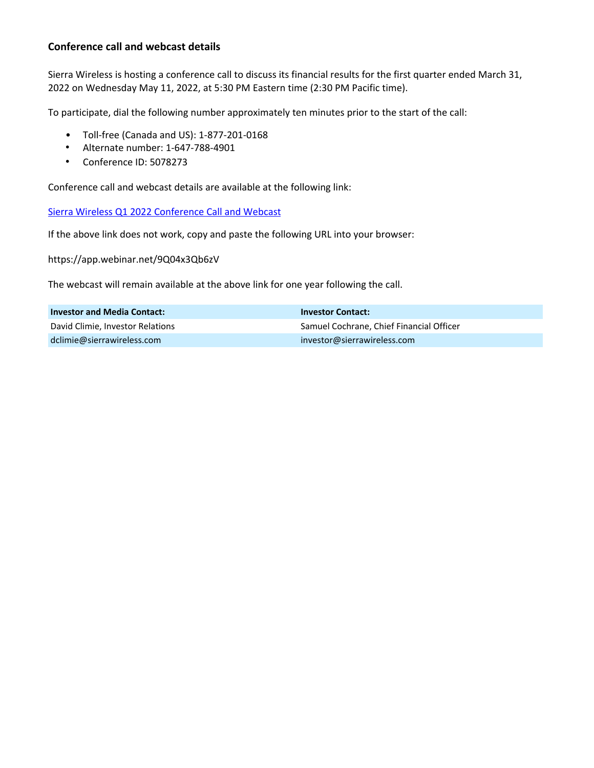## **Conference call and webcast details**

Sierra Wireless is hosting a conference call to discuss its financial results for the first quarter ended March 31, 2022 on Wednesday May 11, 2022, at 5:30 PM Eastern time (2:30 PM Pacific time).

To participate, dial the following number approximately ten minutes prior to the start of the call:

- Toll-free (Canada and US): 1-877-201-0168
- Alternate number: 1-647-788-4901
- Conference ID: 5078273

Conference call and webcast details are available at the following link:

Sierra Wireless Q1 2022 Conference Call and Webcast

If the above link does not work, copy and paste the following URL into your browser:

https://app.webinar.net/9Q04x3Qb6zV

The webcast will remain available at the above link for one year following the call.

| <b>Investor and Media Contact:</b> | <b>Investor Contact:</b>                 |
|------------------------------------|------------------------------------------|
| David Climie, Investor Relations   | Samuel Cochrane, Chief Financial Officer |
| dclimie@sierrawireless.com         | investor@sierrawireless.com              |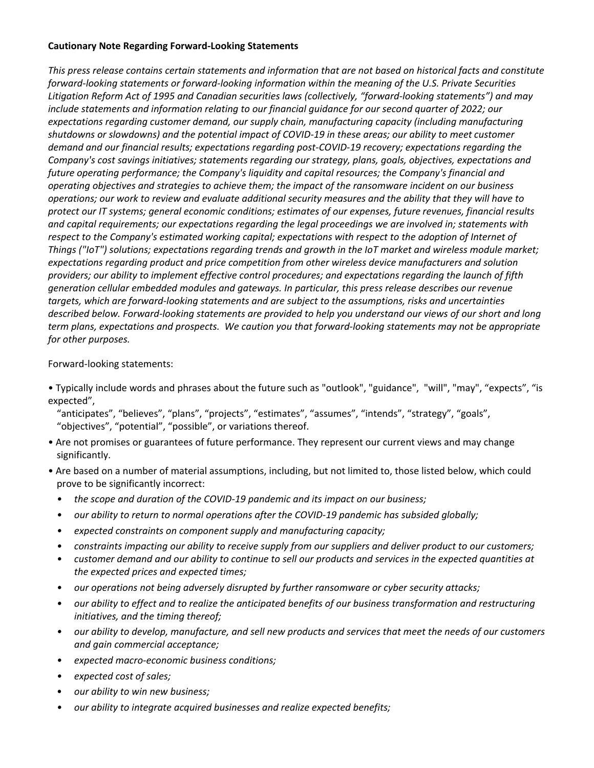## **Cautionary Note Regarding Forward-Looking Statements**

This press release contains certain statements and information that are not based on historical facts and constitute *forward-looking statements or forward-looking information within the meaning of the U.S. Private Securities* Litigation Reform Act of 1995 and Canadian securities laws (collectively, "forward-looking statements") and may include statements and information relating to our financial quidance for our second quarter of 2022; our expectations regarding customer demand, our supply chain, manufacturing capacity (including manufacturing shutdowns or slowdowns) and the potential impact of COVID-19 in these areas; our ability to meet customer *demand and our financial results; expectations regarding post-COVID-19 recovery; expectations regarding the Company's cost savings initiatives; statements regarding our strategy, plans, goals, objectives, expectations and future operating performance;* the Company's liquidity and capital resources; the Company's financial and *operating objectives* and *strategies* to achieve them; the impact of the ransomware incident on our business *operations;* our work to review and evaluate additional security measures and the ability that they will have to protect our IT systems; general economic conditions; estimates of our expenses, future revenues, financial results and capital requirements; our expectations regarding the legal proceedings we are involved in; statements with *respect to the Company's estimated working capital; expectations with respect to the adoption of Internet of Things* ("IoT") solutions; expectations regarding trends and growth in the IoT market and wireless module market; expectations regarding product and price competition from other wireless device manufacturers and solution providers; our ability to implement effective control procedures; and expectations regarding the launch of fifth generation cellular embedded modules and gateways. In particular, this press release describes our revenue targets, which are forward-looking statements and are subject to the assumptions, risks and uncertainties *described below. Forward-looking statements are provided to help you understand our views of our short and long term* plans, expectations and prospects. We caution you that forward-looking statements may not be appropriate *for other purposes.* 

## Forward-looking statements:

- Typically include words and phrases about the future such as "outlook", "guidance", "will", "may", "expects", "is expected",
	- "anticipates", "believes", "plans", "projects", "estimates", "assumes", "intends", "strategy", "goals", "objectives", "potential", "possible", or variations thereof.
- Are not promises or guarantees of future performance. They represent our current views and may change significantly.
- Are based on a number of material assumptions, including, but not limited to, those listed below, which could prove to be significantly incorrect:
	- the scope and duration of the COVID-19 pandemic and its impact on our business;
	- our ability to return to normal operations after the COVID-19 pandemic has subsided globally;
	- *expected constraints on component supply and manufacturing capacity;*
	- *constraints impacting our ability to receive supply from our suppliers and deliver product to our customers;*
	- *customer demand and our ability to continue to sell our products and services in the expected quantities at* the expected prices and expected times;
	- *our operations not being adversely disrupted by further ransomware or cyber security attacks;*
	- *our ability* to effect and to realize the anticipated benefits of our business transformation and restructuring initiatives, and the timing thereof;
	- *our ability to develop, manufacture, and sell new products and services that meet the needs of our customers and gain commercial acceptance;*
	- *• expected macro-economic business conditions;*
	- *• expected cost of sales;*
	- our ability to win new business;
	- our ability to integrate acquired businesses and realize expected benefits;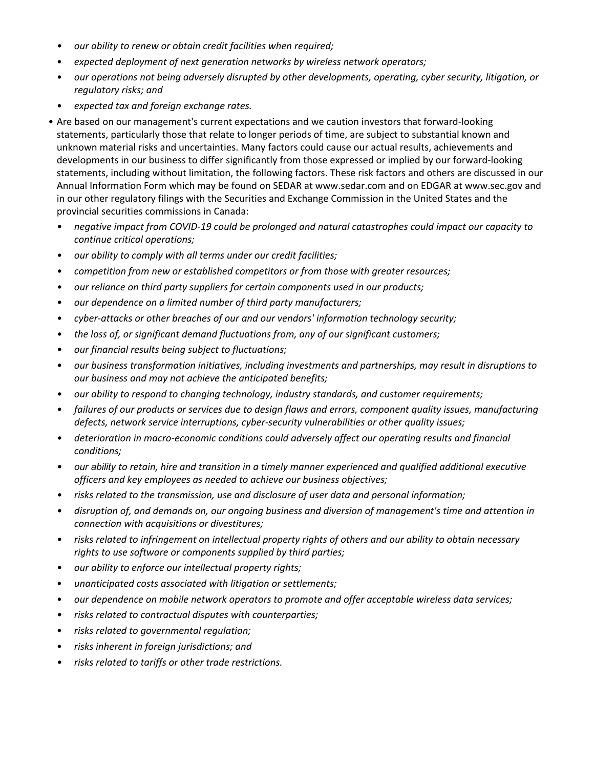- our ability to renew or obtain credit facilities when required;
- expected deployment of next generation networks by wireless network operators;
- our operations not being adversely disrupted by other developments, operating, cyber security, litigation, or *regulatory risks; and*
- *expected tax and foreign exchange rates.*
- Are based on our management's current expectations and we caution investors that forward-looking statements, particularly those that relate to longer periods of time, are subject to substantial known and unknown material risks and uncertainties. Many factors could cause our actual results, achievements and developments in our business to differ significantly from those expressed or implied by our forward-looking statements, including without limitation, the following factors. These risk factors and others are discussed in our Annual Information Form which may be found on SEDAR at www.sedar.com and on EDGAR at www.sec.gov and in our other regulatory filings with the Securities and Exchange Commission in the United States and the provincial securities commissions in Canada:
	- *negative impact from COVID-19 could be prolonged and natural catastrophes could impact our capacity to continue critical operations;*
	- our ability to comply with all terms under our credit facilities;
	- competition from new or established competitors or from those with greater resources;
	- *our reliance on third party suppliers for certain components used in our products;*
	- our dependence on a limited number of third party manufacturers;
	- *cyber-attacks or other breaches of our and our vendors' information technology security;*
	- the loss of, or significant demand fluctuations from, any of our significant customers;
	- our financial results being subject to fluctuations;
	- *our business transformation initiatives, including investments and partnerships, may result in disruptions to* our business and may not achieve the anticipated benefits;
	- *our ability* to respond to changing technology, industry standards, and customer requirements;
	- *failures* of our products or services due to design flaws and errors, component quality issues, manufacturing defects, network service interruptions, cyber-security vulnerabilities or other quality issues;
	- deterioration in macro-economic conditions could adversely affect our operating results and financial *conditions;*
	- *our ability to retain, hire and transition in a timely manner experienced and qualified additional executive* officers and key employees as needed to achieve our business objectives;
	- *risks* related to the transmission, use and disclosure of user data and personal information;
	- *disruption of, and demands on, our ongoing business and diversion of management's time and attention in connection with acquisitions or divestitures;*
	- *risks* related to infringement on intellectual property rights of others and our ability to obtain necessary rights to use software or components supplied by third parties;
	- our ability to enforce our intellectual property rights;
	- *unanticipated costs associated with litigation or settlements;*
	- our dependence on mobile network operators to promote and offer acceptable wireless data services;
	- *risks related to contractual disputes with counterparties;*
	- *risks related to governmental regulation;*
	- risks inherent in foreign jurisdictions; and
	- *risks related to tariffs or other trade restrictions.*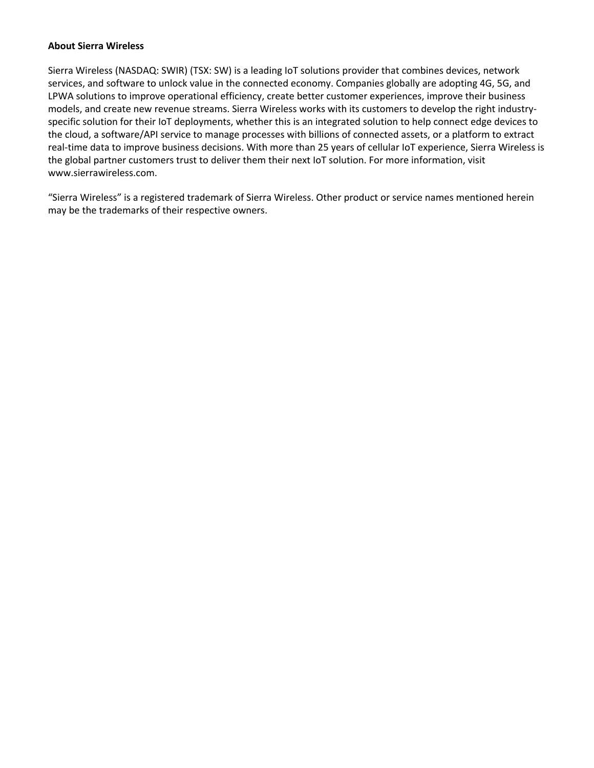#### **About Sierra Wireless**

Sierra Wireless (NASDAQ: SWIR) (TSX: SW) is a leading IoT solutions provider that combines devices, network services, and software to unlock value in the connected economy. Companies globally are adopting 4G, 5G, and LPWA solutions to improve operational efficiency, create better customer experiences, improve their business models, and create new revenue streams. Sierra Wireless works with its customers to develop the right industryspecific solution for their IoT deployments, whether this is an integrated solution to help connect edge devices to the cloud, a software/API service to manage processes with billions of connected assets, or a platform to extract real-time data to improve business decisions. With more than 25 years of cellular IoT experience, Sierra Wireless is the global partner customers trust to deliver them their next IoT solution. For more information, visit www.sierrawireless.com.

"Sierra Wireless" is a registered trademark of Sierra Wireless. Other product or service names mentioned herein may be the trademarks of their respective owners.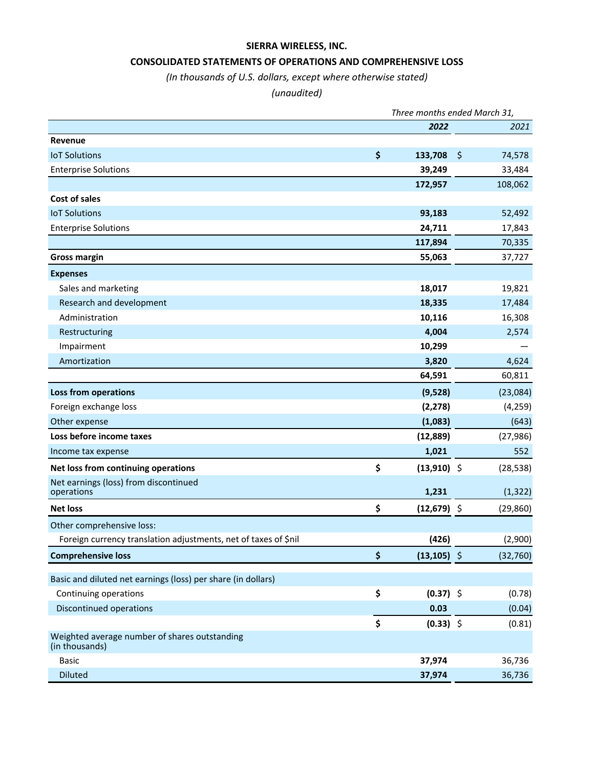# **SIERRA WIRELESS, INC.**

## **CONSOLIDATED STATEMENTS OF OPERATIONS AND COMPREHENSIVE LOSS**

# *(In thousands of U.S. dollars, except where otherwise stated)*

## *(unaudited)*

|                                                                 | Three months ended March 31, |                |         |           |  |
|-----------------------------------------------------------------|------------------------------|----------------|---------|-----------|--|
|                                                                 |                              | 2022           |         | 2021      |  |
| Revenue                                                         |                              |                |         |           |  |
| <b>IoT Solutions</b>                                            | \$                           | 133,708        | $\zeta$ | 74,578    |  |
| <b>Enterprise Solutions</b>                                     |                              | 39,249         |         | 33,484    |  |
|                                                                 |                              | 172,957        |         | 108,062   |  |
| Cost of sales                                                   |                              |                |         |           |  |
| <b>IoT Solutions</b>                                            |                              | 93,183         |         | 52,492    |  |
| <b>Enterprise Solutions</b>                                     |                              | 24,711         |         | 17,843    |  |
|                                                                 |                              | 117,894        |         | 70,335    |  |
| <b>Gross margin</b>                                             |                              | 55,063         |         | 37,727    |  |
| <b>Expenses</b>                                                 |                              |                |         |           |  |
| Sales and marketing                                             |                              | 18,017         |         | 19,821    |  |
| Research and development                                        |                              | 18,335         |         | 17,484    |  |
| Administration                                                  |                              | 10,116         |         | 16,308    |  |
| Restructuring                                                   |                              | 4,004          |         | 2,574     |  |
| Impairment                                                      |                              | 10,299         |         |           |  |
| Amortization                                                    |                              | 3,820          |         | 4,624     |  |
|                                                                 |                              | 64,591         |         | 60,811    |  |
| <b>Loss from operations</b>                                     |                              | (9,528)        |         | (23,084)  |  |
| Foreign exchange loss                                           |                              | (2, 278)       |         | (4, 259)  |  |
| Other expense                                                   |                              | (1,083)        |         | (643)     |  |
| Loss before income taxes                                        |                              | (12, 889)      |         | (27, 986) |  |
| Income tax expense                                              |                              | 1,021          |         | 552       |  |
| Net loss from continuing operations                             | \$                           | $(13,910)$ \$  |         | (28, 538) |  |
| Net earnings (loss) from discontinued                           |                              |                |         |           |  |
| operations                                                      |                              | 1,231          |         | (1, 322)  |  |
| <b>Net loss</b>                                                 | \$                           | $(12,679)$ \$  |         | (29, 860) |  |
| Other comprehensive loss:                                       |                              |                |         |           |  |
| Foreign currency translation adjustments, net of taxes of \$nil |                              | (426)          |         | (2,900)   |  |
| <b>Comprehensive loss</b>                                       | \$                           | $(13, 105)$ \$ |         | (32, 760) |  |
| Basic and diluted net earnings (loss) per share (in dollars)    |                              |                |         |           |  |
| Continuing operations                                           | \$                           | $(0.37)$ \$    |         | (0.78)    |  |
| Discontinued operations                                         |                              | 0.03           |         | (0.04)    |  |
|                                                                 | \$                           | $(0.33)$ \$    |         | (0.81)    |  |
| Weighted average number of shares outstanding                   |                              |                |         |           |  |
| (in thousands)                                                  |                              |                |         |           |  |
| <b>Basic</b>                                                    |                              | 37,974         |         | 36,736    |  |
| <b>Diluted</b>                                                  |                              | 37,974         |         | 36,736    |  |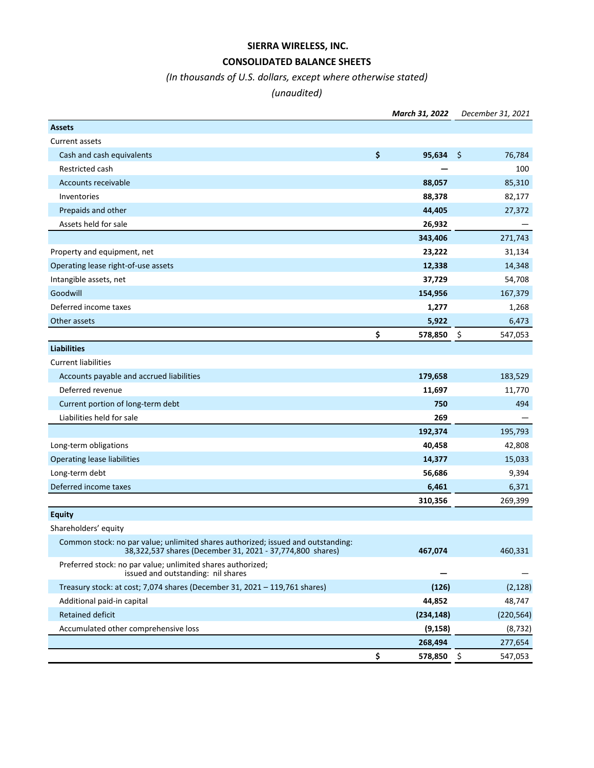# **SIERRA WIRELESS, INC.**

# **CONSOLIDATED BALANCE SHEETS**

# *(In thousands of U.S. dollars, except where otherwise stated)*

# *(unaudited)*

| <b>Assets</b><br>Current assets<br>\$<br>95,634<br>\$<br>Cash and cash equivalents<br>76,784<br>Restricted cash<br>100<br>88,057<br>85,310<br>Accounts receivable<br>Inventories<br>88,378<br>82,177<br>Prepaids and other<br>44,405<br>27,372<br>Assets held for sale<br>26,932<br>343,406<br>271,743<br>Property and equipment, net<br>23,222<br>31,134<br>Operating lease right-of-use assets<br>12,338<br>14,348<br>Intangible assets, net<br>37,729<br>54,708<br>Goodwill<br>154,956<br>167,379<br>Deferred income taxes<br>1,277<br>1,268<br>5,922<br>Other assets<br>6,473<br>\$<br>578,850<br>\$<br>547,053<br><b>Liabilities</b><br><b>Current liabilities</b><br>Accounts payable and accrued liabilities<br>179,658<br>183,529<br>Deferred revenue<br>11,697<br>11,770<br>Current portion of long-term debt<br>750<br>494<br>Liabilities held for sale<br>269<br>192,374<br>195,793<br>Long-term obligations<br>40,458<br>42,808<br><b>Operating lease liabilities</b><br>14,377<br>15,033<br>Long-term debt<br>56,686<br>9,394<br>Deferred income taxes<br>6,461<br>6,371<br>310,356<br>269,399<br><b>Equity</b><br>Shareholders' equity<br>Common stock: no par value; unlimited shares authorized; issued and outstanding:<br>38,322,537 shares (December 31, 2021 - 37,774,800 shares)<br>467,074<br>460,331<br>Preferred stock: no par value; unlimited shares authorized;<br>issued and outstanding: nil shares<br>Treasury stock: at cost; 7,074 shares (December 31, 2021 - 119,761 shares)<br>(126)<br>44,852<br>48,747<br>Additional paid-in capital<br><b>Retained deficit</b><br>(234, 148)<br>(220, 564)<br>Accumulated other comprehensive loss<br>(9, 158)<br>(8, 732)<br>268,494<br>277,654<br>\$<br>\$<br>578,850<br>547,053 |  | March 31, 2022 | December 31, 2021 |
|----------------------------------------------------------------------------------------------------------------------------------------------------------------------------------------------------------------------------------------------------------------------------------------------------------------------------------------------------------------------------------------------------------------------------------------------------------------------------------------------------------------------------------------------------------------------------------------------------------------------------------------------------------------------------------------------------------------------------------------------------------------------------------------------------------------------------------------------------------------------------------------------------------------------------------------------------------------------------------------------------------------------------------------------------------------------------------------------------------------------------------------------------------------------------------------------------------------------------------------------------------------------------------------------------------------------------------------------------------------------------------------------------------------------------------------------------------------------------------------------------------------------------------------------------------------------------------------------------------------------------------------------------------------------------------------------------------------------------------------------------------|--|----------------|-------------------|
|                                                                                                                                                                                                                                                                                                                                                                                                                                                                                                                                                                                                                                                                                                                                                                                                                                                                                                                                                                                                                                                                                                                                                                                                                                                                                                                                                                                                                                                                                                                                                                                                                                                                                                                                                          |  |                |                   |
|                                                                                                                                                                                                                                                                                                                                                                                                                                                                                                                                                                                                                                                                                                                                                                                                                                                                                                                                                                                                                                                                                                                                                                                                                                                                                                                                                                                                                                                                                                                                                                                                                                                                                                                                                          |  |                |                   |
|                                                                                                                                                                                                                                                                                                                                                                                                                                                                                                                                                                                                                                                                                                                                                                                                                                                                                                                                                                                                                                                                                                                                                                                                                                                                                                                                                                                                                                                                                                                                                                                                                                                                                                                                                          |  |                |                   |
|                                                                                                                                                                                                                                                                                                                                                                                                                                                                                                                                                                                                                                                                                                                                                                                                                                                                                                                                                                                                                                                                                                                                                                                                                                                                                                                                                                                                                                                                                                                                                                                                                                                                                                                                                          |  |                |                   |
|                                                                                                                                                                                                                                                                                                                                                                                                                                                                                                                                                                                                                                                                                                                                                                                                                                                                                                                                                                                                                                                                                                                                                                                                                                                                                                                                                                                                                                                                                                                                                                                                                                                                                                                                                          |  |                |                   |
|                                                                                                                                                                                                                                                                                                                                                                                                                                                                                                                                                                                                                                                                                                                                                                                                                                                                                                                                                                                                                                                                                                                                                                                                                                                                                                                                                                                                                                                                                                                                                                                                                                                                                                                                                          |  |                |                   |
|                                                                                                                                                                                                                                                                                                                                                                                                                                                                                                                                                                                                                                                                                                                                                                                                                                                                                                                                                                                                                                                                                                                                                                                                                                                                                                                                                                                                                                                                                                                                                                                                                                                                                                                                                          |  |                |                   |
|                                                                                                                                                                                                                                                                                                                                                                                                                                                                                                                                                                                                                                                                                                                                                                                                                                                                                                                                                                                                                                                                                                                                                                                                                                                                                                                                                                                                                                                                                                                                                                                                                                                                                                                                                          |  |                |                   |
|                                                                                                                                                                                                                                                                                                                                                                                                                                                                                                                                                                                                                                                                                                                                                                                                                                                                                                                                                                                                                                                                                                                                                                                                                                                                                                                                                                                                                                                                                                                                                                                                                                                                                                                                                          |  |                |                   |
|                                                                                                                                                                                                                                                                                                                                                                                                                                                                                                                                                                                                                                                                                                                                                                                                                                                                                                                                                                                                                                                                                                                                                                                                                                                                                                                                                                                                                                                                                                                                                                                                                                                                                                                                                          |  |                |                   |
|                                                                                                                                                                                                                                                                                                                                                                                                                                                                                                                                                                                                                                                                                                                                                                                                                                                                                                                                                                                                                                                                                                                                                                                                                                                                                                                                                                                                                                                                                                                                                                                                                                                                                                                                                          |  |                |                   |
|                                                                                                                                                                                                                                                                                                                                                                                                                                                                                                                                                                                                                                                                                                                                                                                                                                                                                                                                                                                                                                                                                                                                                                                                                                                                                                                                                                                                                                                                                                                                                                                                                                                                                                                                                          |  |                |                   |
|                                                                                                                                                                                                                                                                                                                                                                                                                                                                                                                                                                                                                                                                                                                                                                                                                                                                                                                                                                                                                                                                                                                                                                                                                                                                                                                                                                                                                                                                                                                                                                                                                                                                                                                                                          |  |                |                   |
|                                                                                                                                                                                                                                                                                                                                                                                                                                                                                                                                                                                                                                                                                                                                                                                                                                                                                                                                                                                                                                                                                                                                                                                                                                                                                                                                                                                                                                                                                                                                                                                                                                                                                                                                                          |  |                |                   |
|                                                                                                                                                                                                                                                                                                                                                                                                                                                                                                                                                                                                                                                                                                                                                                                                                                                                                                                                                                                                                                                                                                                                                                                                                                                                                                                                                                                                                                                                                                                                                                                                                                                                                                                                                          |  |                |                   |
|                                                                                                                                                                                                                                                                                                                                                                                                                                                                                                                                                                                                                                                                                                                                                                                                                                                                                                                                                                                                                                                                                                                                                                                                                                                                                                                                                                                                                                                                                                                                                                                                                                                                                                                                                          |  |                |                   |
|                                                                                                                                                                                                                                                                                                                                                                                                                                                                                                                                                                                                                                                                                                                                                                                                                                                                                                                                                                                                                                                                                                                                                                                                                                                                                                                                                                                                                                                                                                                                                                                                                                                                                                                                                          |  |                |                   |
|                                                                                                                                                                                                                                                                                                                                                                                                                                                                                                                                                                                                                                                                                                                                                                                                                                                                                                                                                                                                                                                                                                                                                                                                                                                                                                                                                                                                                                                                                                                                                                                                                                                                                                                                                          |  |                |                   |
|                                                                                                                                                                                                                                                                                                                                                                                                                                                                                                                                                                                                                                                                                                                                                                                                                                                                                                                                                                                                                                                                                                                                                                                                                                                                                                                                                                                                                                                                                                                                                                                                                                                                                                                                                          |  |                |                   |
|                                                                                                                                                                                                                                                                                                                                                                                                                                                                                                                                                                                                                                                                                                                                                                                                                                                                                                                                                                                                                                                                                                                                                                                                                                                                                                                                                                                                                                                                                                                                                                                                                                                                                                                                                          |  |                |                   |
|                                                                                                                                                                                                                                                                                                                                                                                                                                                                                                                                                                                                                                                                                                                                                                                                                                                                                                                                                                                                                                                                                                                                                                                                                                                                                                                                                                                                                                                                                                                                                                                                                                                                                                                                                          |  |                |                   |
|                                                                                                                                                                                                                                                                                                                                                                                                                                                                                                                                                                                                                                                                                                                                                                                                                                                                                                                                                                                                                                                                                                                                                                                                                                                                                                                                                                                                                                                                                                                                                                                                                                                                                                                                                          |  |                |                   |
|                                                                                                                                                                                                                                                                                                                                                                                                                                                                                                                                                                                                                                                                                                                                                                                                                                                                                                                                                                                                                                                                                                                                                                                                                                                                                                                                                                                                                                                                                                                                                                                                                                                                                                                                                          |  |                |                   |
|                                                                                                                                                                                                                                                                                                                                                                                                                                                                                                                                                                                                                                                                                                                                                                                                                                                                                                                                                                                                                                                                                                                                                                                                                                                                                                                                                                                                                                                                                                                                                                                                                                                                                                                                                          |  |                |                   |
|                                                                                                                                                                                                                                                                                                                                                                                                                                                                                                                                                                                                                                                                                                                                                                                                                                                                                                                                                                                                                                                                                                                                                                                                                                                                                                                                                                                                                                                                                                                                                                                                                                                                                                                                                          |  |                |                   |
|                                                                                                                                                                                                                                                                                                                                                                                                                                                                                                                                                                                                                                                                                                                                                                                                                                                                                                                                                                                                                                                                                                                                                                                                                                                                                                                                                                                                                                                                                                                                                                                                                                                                                                                                                          |  |                |                   |
|                                                                                                                                                                                                                                                                                                                                                                                                                                                                                                                                                                                                                                                                                                                                                                                                                                                                                                                                                                                                                                                                                                                                                                                                                                                                                                                                                                                                                                                                                                                                                                                                                                                                                                                                                          |  |                |                   |
|                                                                                                                                                                                                                                                                                                                                                                                                                                                                                                                                                                                                                                                                                                                                                                                                                                                                                                                                                                                                                                                                                                                                                                                                                                                                                                                                                                                                                                                                                                                                                                                                                                                                                                                                                          |  |                |                   |
|                                                                                                                                                                                                                                                                                                                                                                                                                                                                                                                                                                                                                                                                                                                                                                                                                                                                                                                                                                                                                                                                                                                                                                                                                                                                                                                                                                                                                                                                                                                                                                                                                                                                                                                                                          |  |                |                   |
|                                                                                                                                                                                                                                                                                                                                                                                                                                                                                                                                                                                                                                                                                                                                                                                                                                                                                                                                                                                                                                                                                                                                                                                                                                                                                                                                                                                                                                                                                                                                                                                                                                                                                                                                                          |  |                |                   |
|                                                                                                                                                                                                                                                                                                                                                                                                                                                                                                                                                                                                                                                                                                                                                                                                                                                                                                                                                                                                                                                                                                                                                                                                                                                                                                                                                                                                                                                                                                                                                                                                                                                                                                                                                          |  |                |                   |
|                                                                                                                                                                                                                                                                                                                                                                                                                                                                                                                                                                                                                                                                                                                                                                                                                                                                                                                                                                                                                                                                                                                                                                                                                                                                                                                                                                                                                                                                                                                                                                                                                                                                                                                                                          |  |                |                   |
|                                                                                                                                                                                                                                                                                                                                                                                                                                                                                                                                                                                                                                                                                                                                                                                                                                                                                                                                                                                                                                                                                                                                                                                                                                                                                                                                                                                                                                                                                                                                                                                                                                                                                                                                                          |  |                | (2, 128)          |
|                                                                                                                                                                                                                                                                                                                                                                                                                                                                                                                                                                                                                                                                                                                                                                                                                                                                                                                                                                                                                                                                                                                                                                                                                                                                                                                                                                                                                                                                                                                                                                                                                                                                                                                                                          |  |                |                   |
|                                                                                                                                                                                                                                                                                                                                                                                                                                                                                                                                                                                                                                                                                                                                                                                                                                                                                                                                                                                                                                                                                                                                                                                                                                                                                                                                                                                                                                                                                                                                                                                                                                                                                                                                                          |  |                |                   |
|                                                                                                                                                                                                                                                                                                                                                                                                                                                                                                                                                                                                                                                                                                                                                                                                                                                                                                                                                                                                                                                                                                                                                                                                                                                                                                                                                                                                                                                                                                                                                                                                                                                                                                                                                          |  |                |                   |
|                                                                                                                                                                                                                                                                                                                                                                                                                                                                                                                                                                                                                                                                                                                                                                                                                                                                                                                                                                                                                                                                                                                                                                                                                                                                                                                                                                                                                                                                                                                                                                                                                                                                                                                                                          |  |                |                   |
|                                                                                                                                                                                                                                                                                                                                                                                                                                                                                                                                                                                                                                                                                                                                                                                                                                                                                                                                                                                                                                                                                                                                                                                                                                                                                                                                                                                                                                                                                                                                                                                                                                                                                                                                                          |  |                |                   |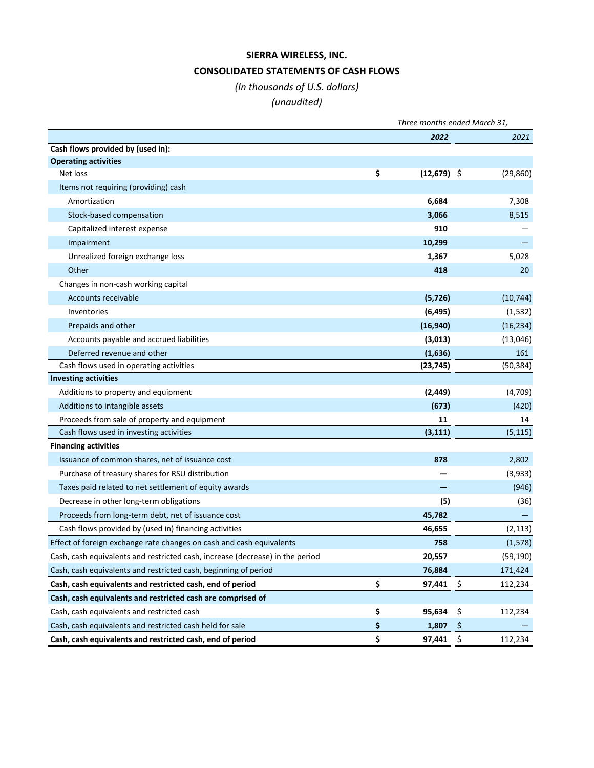# **SIERRA WIRELESS, INC. CONSOLIDATED STATEMENTS OF CASH FLOWS**

# *(In thousands of U.S. dollars)*

# *(unaudited)*

|                                                                               | Three months ended March 31, |               |     |           |
|-------------------------------------------------------------------------------|------------------------------|---------------|-----|-----------|
|                                                                               |                              | 2022          |     | 2021      |
| Cash flows provided by (used in):                                             |                              |               |     |           |
| <b>Operating activities</b>                                                   |                              |               |     |           |
| Net loss                                                                      | \$                           | $(12,679)$ \$ |     | (29, 860) |
| Items not requiring (providing) cash                                          |                              |               |     |           |
| Amortization                                                                  |                              | 6,684         |     | 7,308     |
| Stock-based compensation                                                      |                              | 3,066         |     | 8,515     |
| Capitalized interest expense                                                  |                              | 910           |     |           |
| Impairment                                                                    |                              | 10,299        |     |           |
| Unrealized foreign exchange loss                                              |                              | 1,367         |     | 5,028     |
| Other                                                                         |                              | 418           |     | 20        |
| Changes in non-cash working capital                                           |                              |               |     |           |
| Accounts receivable                                                           |                              | (5, 726)      |     | (10, 744) |
| Inventories                                                                   |                              | (6, 495)      |     | (1,532)   |
| Prepaids and other                                                            |                              | (16,940)      |     | (16, 234) |
| Accounts payable and accrued liabilities                                      |                              | (3,013)       |     | (13,046)  |
| Deferred revenue and other                                                    |                              | (1,636)       |     | 161       |
| Cash flows used in operating activities                                       |                              | (23, 745)     |     | (50, 384) |
| <b>Investing activities</b>                                                   |                              |               |     |           |
| Additions to property and equipment                                           |                              | (2, 449)      |     | (4,709)   |
| Additions to intangible assets                                                |                              | (673)         |     | (420)     |
| Proceeds from sale of property and equipment                                  |                              | 11            |     | 14        |
| Cash flows used in investing activities                                       |                              | (3, 111)      |     | (5, 115)  |
| <b>Financing activities</b>                                                   |                              |               |     |           |
| Issuance of common shares, net of issuance cost                               |                              | 878           |     | 2,802     |
| Purchase of treasury shares for RSU distribution                              |                              |               |     | (3,933)   |
| Taxes paid related to net settlement of equity awards                         |                              |               |     | (946)     |
| Decrease in other long-term obligations                                       |                              | (5)           |     | (36)      |
| Proceeds from long-term debt, net of issuance cost                            |                              | 45,782        |     |           |
| Cash flows provided by (used in) financing activities                         |                              | 46,655        |     | (2, 113)  |
| Effect of foreign exchange rate changes on cash and cash equivalents          |                              | 758           |     | (1, 578)  |
| Cash, cash equivalents and restricted cash, increase (decrease) in the period |                              | 20,557        |     | (59, 190) |
| Cash, cash equivalents and restricted cash, beginning of period               |                              | 76,884        |     | 171,424   |
| Cash, cash equivalents and restricted cash, end of period                     | \$                           | 97,441        | \$  | 112,234   |
| Cash, cash equivalents and restricted cash are comprised of                   |                              |               |     |           |
| Cash, cash equivalents and restricted cash                                    | \$                           | 95,634        | \$  | 112,234   |
| Cash, cash equivalents and restricted cash held for sale                      | \$                           | 1,807         | \$  |           |
| Cash, cash equivalents and restricted cash, end of period                     | \$                           | 97,441        | -\$ | 112,234   |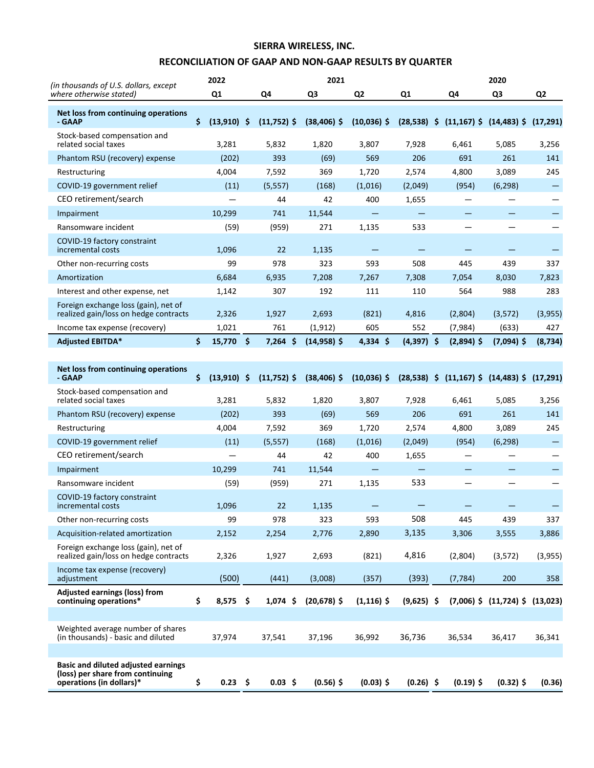# **SIERRA WIRELESS, INC.**

# **RECONCILIATION OF GAAP AND NON-GAAP RESULTS BY QUARTER**

| (in thousands of U.S. dollars, except)                                                                     |    | 2022           |               | 2021           |                   |                |              | 2020                                                 |                |
|------------------------------------------------------------------------------------------------------------|----|----------------|---------------|----------------|-------------------|----------------|--------------|------------------------------------------------------|----------------|
| where otherwise stated)                                                                                    |    | Q <sub>1</sub> | Q4            | Q <sub>3</sub> | Q <sub>2</sub>    | Q <sub>1</sub> | Q4           | Q3                                                   | Q <sub>2</sub> |
| Net loss from continuing operations<br>- GAAP                                                              | Ŝ. | $(13,910)$ \$  | $(11,752)$ \$ | $(38, 406)$ \$ | $(10,036)$ \$     |                |              | $(28,538)$ \$ $(11,167)$ \$ $(14,483)$ \$ $(17,291)$ |                |
| Stock-based compensation and<br>related social taxes                                                       |    | 3,281          | 5,832         | 1,820          | 3,807             | 7,928          | 6,461        | 5,085                                                | 3,256          |
| Phantom RSU (recovery) expense                                                                             |    | (202)          | 393           | (69)           | 569               | 206            | 691          | 261                                                  | 141            |
| Restructuring                                                                                              |    | 4,004          | 7,592         | 369            | 1,720             | 2,574          | 4,800        | 3,089                                                | 245            |
| COVID-19 government relief                                                                                 |    | (11)           | (5, 557)      | (168)          | (1,016)           | (2,049)        | (954)        | (6, 298)                                             | -              |
| CEO retirement/search                                                                                      |    |                | 44            | 42             | 400               | 1,655          |              |                                                      |                |
| Impairment                                                                                                 |    | 10,299         | 741           | 11,544         |                   |                |              |                                                      |                |
| Ransomware incident                                                                                        |    | (59)           | (959)         | 271            | 1,135             | 533            |              |                                                      |                |
| COVID-19 factory constraint<br>incremental costs                                                           |    | 1,096          | 22            | 1,135          |                   |                |              |                                                      |                |
| Other non-recurring costs                                                                                  |    | 99             | 978           | 323            | 593               | 508            | 445          | 439                                                  | 337            |
| Amortization                                                                                               |    | 6,684          | 6,935         | 7,208          | 7,267             | 7,308          | 7,054        | 8,030                                                | 7,823          |
| Interest and other expense, net                                                                            |    | 1,142          | 307           | 192            | 111               | 110            | 564          | 988                                                  | 283            |
| Foreign exchange loss (gain), net of<br>realized gain/loss on hedge contracts                              |    | 2,326          | 1,927         | 2,693          | (821)             | 4,816          | (2,804)      | (3,572)                                              | (3,955)        |
| Income tax expense (recovery)                                                                              |    | 1,021          | 761           | (1, 912)       | 605               | 552            | (7,984)      | (633)                                                | 427            |
| <b>Adjusted EBITDA*</b>                                                                                    | \$ | 15,770 \$      | $7,264$ \$    | $(14,958)$ \$  | $4,334$ \$        | $(4,397)$ \$   | $(2,894)$ \$ | $(7,094)$ \$                                         | (8, 734)       |
|                                                                                                            |    |                |               |                |                   |                |              |                                                      |                |
| Net loss from continuing operations<br>- GAAP                                                              | Ŝ. | $(13,910)$ \$  | $(11,752)$ \$ | $(38, 406)$ \$ | $(10,036)$ \$     |                |              | $(28,538)$ \$ $(11,167)$ \$ $(14,483)$ \$ $(17,291)$ |                |
| Stock-based compensation and<br>related social taxes                                                       |    | 3,281          | 5,832         | 1,820          | 3,807             | 7,928          | 6,461        | 5,085                                                | 3,256          |
| Phantom RSU (recovery) expense                                                                             |    | (202)          | 393           | (69)           | 569               | 206            | 691          | 261                                                  | 141            |
| Restructuring                                                                                              |    | 4,004          | 7,592         | 369            | 1,720             | 2,574          | 4,800        | 3,089                                                | 245            |
| COVID-19 government relief                                                                                 |    | (11)           | (5, 557)      | (168)          | (1,016)           | (2,049)        | (954)        | (6, 298)                                             | —              |
| CEO retirement/search                                                                                      |    |                | 44            | 42             | 400               | 1,655          |              |                                                      |                |
| Impairment                                                                                                 |    | 10,299         | 741           | 11,544         | $\qquad \qquad -$ |                |              |                                                      |                |
| Ransomware incident                                                                                        |    | (59)           | (959)         | 271            | 1,135             | 533            |              |                                                      |                |
| COVID-19 factory constraint<br>incremental costs                                                           |    | 1,096          | 22            | 1,135          |                   |                |              |                                                      |                |
| Other non-recurring costs                                                                                  |    | 99             | 978           | 323            | 593               | 508            | 445          | 439                                                  | 337            |
| Acquisition-related amortization                                                                           |    | 2,152          | 2,254         | 2,776          | 2,890             | 3,135          | 3,306        | 3,555                                                | 3,886          |
| Foreign exchange loss (gain), net of<br>realized gain/loss on hedge contracts                              |    | 2,326          | 1,927         | 2,693          | (821)             | 4,816          | (2,804)      | (3,572)                                              | (3,955)        |
| Income tax expense (recovery)<br>adjustment                                                                |    | (500)          | (441)         | (3,008)        | (357)             | (393)          | (7, 784)     | 200                                                  | 358            |
| <b>Adjusted earnings (loss) from</b><br>continuing operations*                                             | \$ | $8,575$ \$     | $1,074$ \$    | $(20, 678)$ \$ | $(1, 116)$ \$     | $(9,625)$ \$   |              | $(7,006)$ \$ $(11,724)$ \$ $(13,023)$                |                |
|                                                                                                            |    |                |               |                |                   |                |              |                                                      |                |
| Weighted average number of shares<br>(in thousands) - basic and diluted                                    |    | 37,974         | 37,541        | 37,196         | 36,992            | 36,736         | 36,534       | 36,417                                               | 36,341         |
|                                                                                                            |    |                |               |                |                   |                |              |                                                      |                |
| <b>Basic and diluted adjusted earnings</b><br>(loss) per share from continuing<br>operations (in dollars)* | \$ | $0.23$ \$      | $0.03$ \$     | $(0.56)$ \$    | $(0.03)$ \$       | $(0.26)$ \$    | $(0.19)$ \$  | $(0.32)$ \$                                          | (0.36)         |